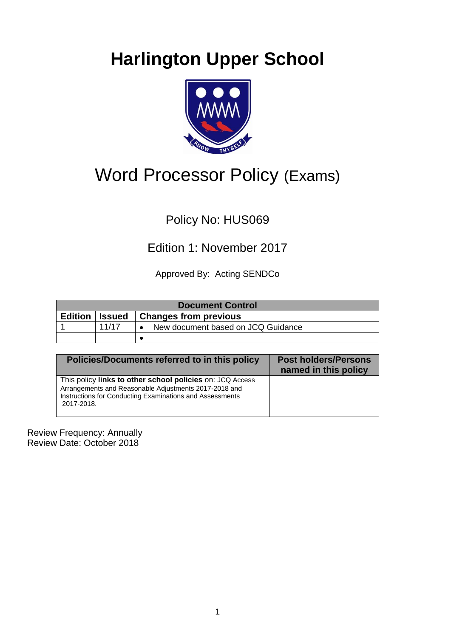# **Harlington Upper School**



## Word Processor Policy (Exams)

## Policy No: HUS069

## Edition 1: November 2017

Approved By: Acting SENDCo

| <b>Document Control</b> |       |                                    |  |  |  |  |  |
|-------------------------|-------|------------------------------------|--|--|--|--|--|
| <b>Edition   Issued</b> |       | <b>Changes from previous</b>       |  |  |  |  |  |
|                         | 11/17 | New document based on JCQ Guidance |  |  |  |  |  |
|                         |       |                                    |  |  |  |  |  |

| Policies/Documents referred to in this policy                                                                                                                                                | <b>Post holders/Persons</b><br>named in this policy |
|----------------------------------------------------------------------------------------------------------------------------------------------------------------------------------------------|-----------------------------------------------------|
| This policy links to other school policies on: JCQ Access<br>Arrangements and Reasonable Adjustments 2017-2018 and<br>Instructions for Conducting Examinations and Assessments<br>2017-2018. |                                                     |

Review Frequency: Annually Review Date: October 2018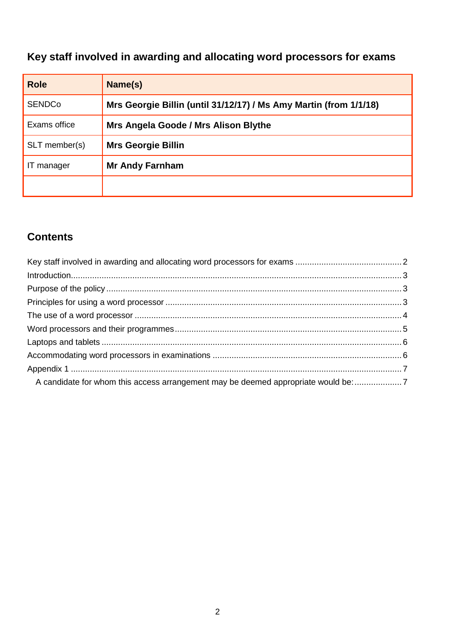## <span id="page-1-0"></span>**Key staff involved in awarding and allocating word processors for exams**

| <b>Role</b>   | Name(s)                                                           |  |
|---------------|-------------------------------------------------------------------|--|
| <b>SENDCo</b> | Mrs Georgie Billin (until 31/12/17) / Ms Amy Martin (from 1/1/18) |  |
| Exams office  | Mrs Angela Goode / Mrs Alison Blythe                              |  |
| SLT member(s) | <b>Mrs Georgie Billin</b>                                         |  |
| manager       | <b>Mr Andy Farnham</b>                                            |  |
|               |                                                                   |  |

### **Contents**

| A candidate for whom this access arrangement may be deemed appropriate would be: |  |
|----------------------------------------------------------------------------------|--|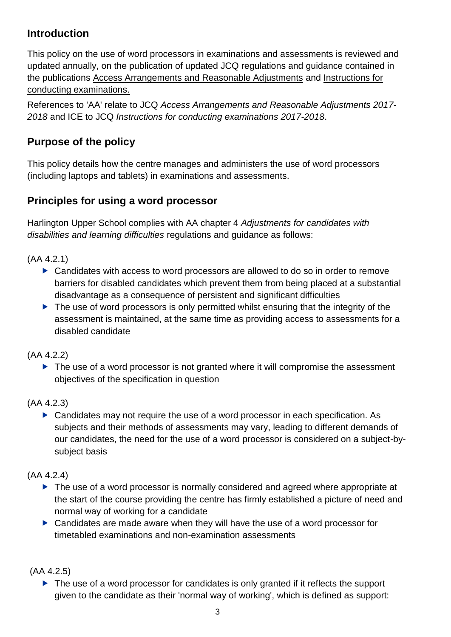#### <span id="page-2-0"></span>**Introduction**

This policy on the use of word processors in examinations and assessments is reviewed and updated annually, on the publication of updated JCQ regulations and guidance contained in the publications [Access Arrangements and Reasonable Adjustments](http://www.jcq.org.uk/exams-office/access-arrangements-and-special-consideration/regulations-and-guidance) and [Instructions for](http://www.jcq.org.uk/exams-office/ice---instructions-for-conducting-examinations)  [conducting examinations.](http://www.jcq.org.uk/exams-office/ice---instructions-for-conducting-examinations) 

References to 'AA' relate to JCQ *Access Arrangements and Reasonable Adjustments 2017- 2018* and ICE to JCQ *Instructions for conducting examinations 2017-2018*.

#### <span id="page-2-1"></span>**Purpose of the policy**

This policy details how the centre manages and administers the use of word processors (including laptops and tablets) in examinations and assessments.

#### <span id="page-2-2"></span>**Principles for using a word processor**

Harlington Upper School complies with AA chapter 4 *Adjustments for candidates with disabilities and learning difficulties* regulations and guidance as follows:

(AA 4.2.1)

- ▶ Candidates with access to word processors are allowed to do so in order to remove barriers for disabled candidates which prevent them from being placed at a substantial disadvantage as a consequence of persistent and significant difficulties
- ▶ The use of word processors is only permitted whilst ensuring that the integrity of the assessment is maintained, at the same time as providing access to assessments for a disabled candidate

(AA 4.2.2)

▶ The use of a word processor is not granted where it will compromise the assessment objectives of the specification in question

(AA 4.2.3)

▶ Candidates may not require the use of a word processor in each specification. As subjects and their methods of assessments may vary, leading to different demands of our candidates, the need for the use of a word processor is considered on a subject-bysubject basis

(AA 4.2.4)

- ▶ The use of a word processor is normally considered and agreed where appropriate at the start of the course providing the centre has firmly established a picture of need and normal way of working for a candidate
- ▶ Candidates are made aware when they will have the use of a word processor for timetabled examinations and non-examination assessments

(AA 4.2.5)

▶ The use of a word processor for candidates is only granted if it reflects the support given to the candidate as their 'normal way of working', which is defined as support: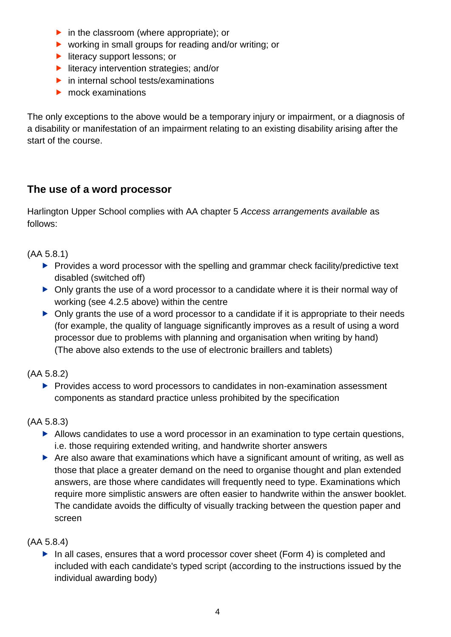- $\triangleright$  in the classroom (where appropriate); or
- ▶ working in small groups for reading and/or writing; or
- literacy support lessons; or
- $\blacktriangleright$  literacy intervention strategies; and/or
- $\blacktriangleright$  in internal school tests/examinations
- ▶ mock examinations

The only exceptions to the above would be a temporary injury or impairment, or a diagnosis of a disability or manifestation of an impairment relating to an existing disability arising after the start of the course.

### <span id="page-3-0"></span>**The use of a word processor**

Harlington Upper School complies with AA chapter 5 *Access arrangements available* as follows:

(AA 5.8.1)

- $\blacktriangleright$  Provides a word processor with the spelling and grammar check facility/predictive text disabled (switched off)
- Only grants the use of a word processor to a candidate where it is their normal way of working (see 4.2.5 above) within the centre
- $\triangleright$  Only grants the use of a word processor to a candidate if it is appropriate to their needs (for example, the quality of language significantly improves as a result of using a word processor due to problems with planning and organisation when writing by hand) (The above also extends to the use of electronic braillers and tablets)

#### (AA 5.8.2)

**Provides access to word processors to candidates in non-examination assessment** components as standard practice unless prohibited by the specification

#### (AA 5.8.3)

- Allows candidates to use a word processor in an examination to type certain questions, i.e. those requiring extended writing, and handwrite shorter answers
- Are also aware that examinations which have a significant amount of writing, as well as those that place a greater demand on the need to organise thought and plan extended answers, are those where candidates will frequently need to type. Examinations which require more simplistic answers are often easier to handwrite within the answer booklet. The candidate avoids the difficulty of visually tracking between the question paper and screen

#### (AA 5.8.4)

In all cases, ensures that a word processor cover sheet (Form 4) is completed and included with each candidate's typed script (according to the instructions issued by the individual awarding body)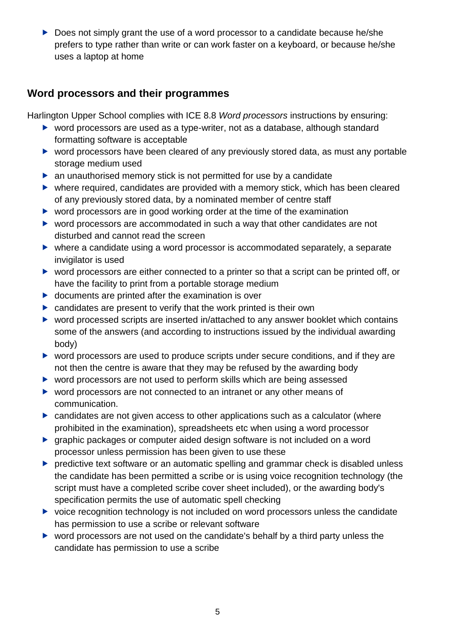Does not simply grant the use of a word processor to a candidate because he/she prefers to type rather than write or can work faster on a keyboard, or because he/she uses a laptop at home

#### <span id="page-4-0"></span>**Word processors and their programmes**

Harlington Upper School complies with ICE 8.8 *Word processors* instructions by ensuring:

- ▶ word processors are used as a type-writer, not as a database, although standard formatting software is acceptable
- ▶ word processors have been cleared of any previously stored data, as must any portable storage medium used
- ▶ an unauthorised memory stick is not permitted for use by a candidate
- where required, candidates are provided with a memory stick, which has been cleared of any previously stored data, by a nominated member of centre staff
- ▶ word processors are in good working order at the time of the examination
- ▶ word processors are accommodated in such a way that other candidates are not disturbed and cannot read the screen
- where a candidate using a word processor is accommodated separately, a separate invigilator is used
- ▶ word processors are either connected to a printer so that a script can be printed off, or have the facility to print from a portable storage medium
- $\triangleright$  documents are printed after the examination is over
- $\triangleright$  candidates are present to verify that the work printed is their own
- ▶ word processed scripts are inserted in/attached to any answer booklet which contains some of the answers (and according to instructions issued by the individual awarding body)
- ▶ word processors are used to produce scripts under secure conditions, and if they are not then the centre is aware that they may be refused by the awarding body
- ▶ word processors are not used to perform skills which are being assessed
- ▶ word processors are not connected to an intranet or any other means of communication.
- candidates are not given access to other applications such as a calculator (where prohibited in the examination), spreadsheets etc when using a word processor
- graphic packages or computer aided design software is not included on a word processor unless permission has been given to use these
- **P** predictive text software or an automatic spelling and grammar check is disabled unless the candidate has been permitted a scribe or is using voice recognition technology (the script must have a completed scribe cover sheet included), or the awarding body's specification permits the use of automatic spell checking
- $\triangleright$  voice recognition technology is not included on word processors unless the candidate has permission to use a scribe or relevant software
- ▶ word processors are not used on the candidate's behalf by a third party unless the candidate has permission to use a scribe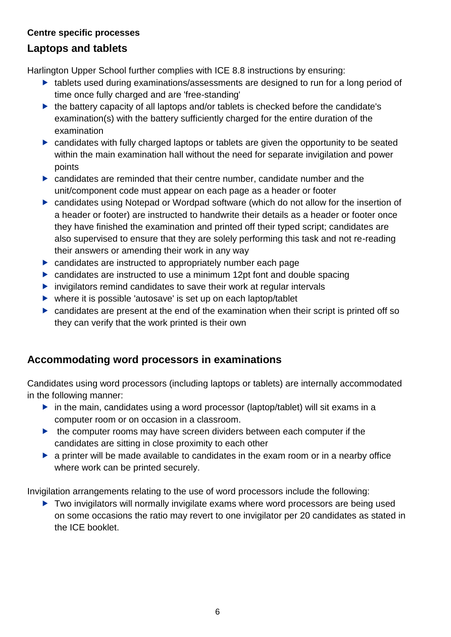#### **Centre specific processes**

#### <span id="page-5-0"></span>**Laptops and tablets**

Harlington Upper School further complies with ICE 8.8 instructions by ensuring:

- ▶ tablets used during examinations/assessments are designed to run for a long period of time once fully charged and are 'free-standing'
- $\blacktriangleright$  the battery capacity of all laptops and/or tablets is checked before the candidate's examination(s) with the battery sufficiently charged for the entire duration of the examination
- candidates with fully charged laptops or tablets are given the opportunity to be seated within the main examination hall without the need for separate invigilation and power points
- candidates are reminded that their centre number, candidate number and the unit/component code must appear on each page as a header or footer
- candidates using Notepad or Wordpad software (which do not allow for the insertion of a header or footer) are instructed to handwrite their details as a header or footer once they have finished the examination and printed off their typed script; candidates are also supervised to ensure that they are solely performing this task and not re-reading their answers or amending their work in any way
- candidates are instructed to appropriately number each page
- ▶ candidates are instructed to use a minimum 12pt font and double spacing
- $\blacktriangleright$  invigilators remind candidates to save their work at regular intervals
- where it is possible 'autosave' is set up on each laptop/tablet
- candidates are present at the end of the examination when their script is printed off so they can verify that the work printed is their own

#### <span id="page-5-1"></span>**Accommodating word processors in examinations**

Candidates using word processors (including laptops or tablets) are internally accommodated in the following manner:

- in the main, candidates using a word processor (laptop/tablet) will sit exams in a computer room or on occasion in a classroom.
- $\blacktriangleright$  the computer rooms may have screen dividers between each computer if the candidates are sitting in close proximity to each other
- a printer will be made available to candidates in the exam room or in a nearby office where work can be printed securely.

Invigilation arrangements relating to the use of word processors include the following:

<span id="page-5-2"></span>▶ Two invigilators will normally invigilate exams where word processors are being used on some occasions the ratio may revert to one invigilator per 20 candidates as stated in the ICE booklet.